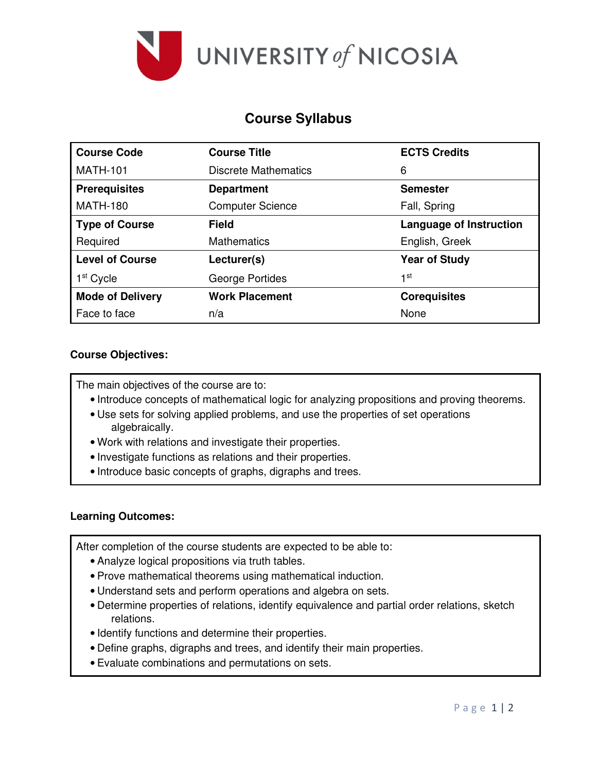

# **Course Syllabus**

| <b>Course Code</b>      | <b>Course Title</b>         | <b>ECTS Credits</b>            |  |  |
|-------------------------|-----------------------------|--------------------------------|--|--|
| <b>MATH-101</b>         | <b>Discrete Mathematics</b> | 6                              |  |  |
| <b>Prerequisites</b>    | <b>Department</b>           | <b>Semester</b>                |  |  |
| <b>MATH-180</b>         | <b>Computer Science</b>     | Fall, Spring                   |  |  |
| <b>Type of Course</b>   | Field                       | <b>Language of Instruction</b> |  |  |
| Required                | <b>Mathematics</b>          | English, Greek                 |  |  |
| <b>Level of Course</b>  | Lecturer(s)                 | <b>Year of Study</b>           |  |  |
| 1 <sup>st</sup> Cycle   | George Portides             | 1st                            |  |  |
| <b>Mode of Delivery</b> | <b>Work Placement</b>       | <b>Corequisites</b>            |  |  |
| Face to face            | n/a                         | None                           |  |  |

## **Course Objectives:**

The main objectives of the course are to:

- Introduce concepts of mathematical logic for analyzing propositions and proving theorems.
- Use sets for solving applied problems, and use the properties of set operations algebraically.
- Work with relations and investigate their properties.
- Investigate functions as relations and their properties.
- Introduce basic concepts of graphs, digraphs and trees.

## **Learning Outcomes:**

After completion of the course students are expected to be able to:

- Analyze logical propositions via truth tables.
- Prove mathematical theorems using mathematical induction.
- Understand sets and perform operations and algebra on sets.
- Determine properties of relations, identify equivalence and partial order relations, sketch relations.
- Identify functions and determine their properties.
- Define graphs, digraphs and trees, and identify their main properties.
- Evaluate combinations and permutations on sets.